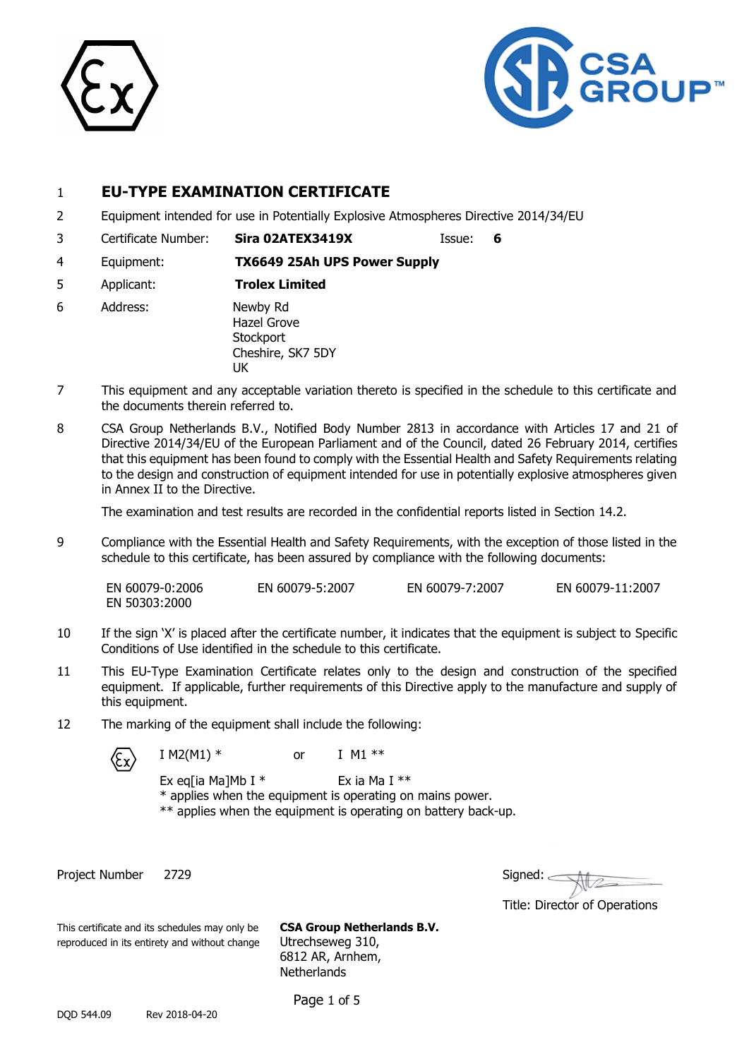



## 1 **EU-TYPE EXAMINATION CERTIFICATE**

- 2 Equipment intended for use in Potentially Explosive Atmospheres Directive 2014/34/EU
- 3 Certificate Number: **Sira 02ATEX3419X** Issue: **6**
	-
- 4 Equipment: **TX6649 25Ah UPS Power Supply**
- 5 Applicant: **Trolex Limited**
- 6 Address: Newby Rd Hazel Grove **Stockport** Cheshire, SK7 5DY UK
- 7 This equipment and any acceptable variation thereto is specified in the schedule to this certificate and the documents therein referred to.
- 8 CSA Group Netherlands B.V., Notified Body Number 2813 in accordance with Articles 17 and 21 of Directive 2014/34/EU of the European Parliament and of the Council, dated 26 February 2014, certifies that this equipment has been found to comply with the Essential Health and Safety Requirements relating to the design and construction of equipment intended for use in potentially explosive atmospheres given in Annex II to the Directive.

The examination and test results are recorded in the confidential reports listed in Section 14.2.

9 Compliance with the Essential Health and Safety Requirements, with the exception of those listed in the schedule to this certificate, has been assured by compliance with the following documents:

EN 60079-0:2006 EN 60079-5:2007 EN 60079-7:2007 EN 60079-11:2007 EN 50303:2000

- 10 If the sign 'X' is placed after the certificate number, it indicates that the equipment is subject to Specific Conditions of Use identified in the schedule to this certificate.
- 11 This EU-Type Examination Certificate relates only to the design and construction of the specified equipment. If applicable, further requirements of this Directive apply to the manufacture and supply of this equipment.
- 12 The marking of the equipment shall include the following:



 $I M2(M1) *$  or  $I M1 **$ 

Ex eq[ia Ma]Mb I  $*$  Ex ia Ma I  $**$ \* applies when the equipment is operating on mains power. \*\* applies when the equipment is operating on battery back-up.

Project Number 2729

| Signed: |  |
|---------|--|
|         |  |

Title: Director of Operations

This certificate and its schedules may only be **CSA Group Netherlands B.V.** reproduced in its entirety and without change Utrechseweg 310, 6812 AR, Arnhem, **Netherlands** 

Page 1 of 5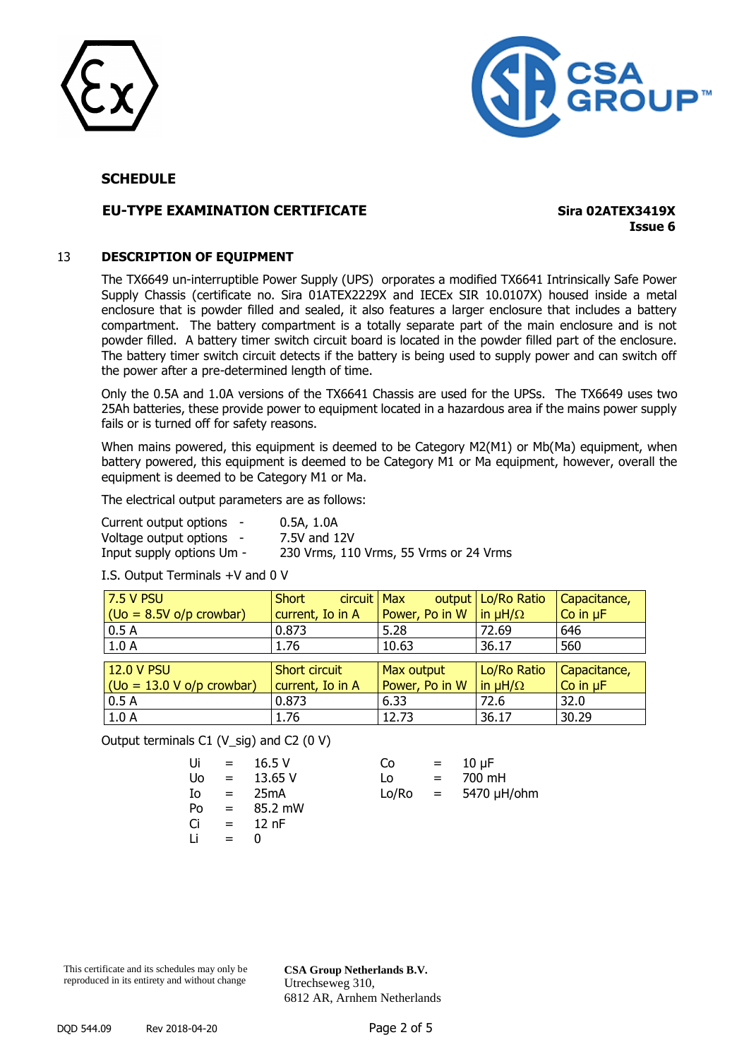



### **EU-TYPE EXAMINATION CERTIFICATE Sira 02ATEX3419X**

**Issue 6**

### 13 **DESCRIPTION OF EQUIPMENT**

The TX6649 un-interruptible Power Supply (UPS) orporates a modified TX6641 Intrinsically Safe Power Supply Chassis (certificate no. Sira 01ATEX2229X and IECEx SIR 10.0107X) housed inside a metal enclosure that is powder filled and sealed, it also features a larger enclosure that includes a battery compartment. The battery compartment is a totally separate part of the main enclosure and is not powder filled. A battery timer switch circuit board is located in the powder filled part of the enclosure. The battery timer switch circuit detects if the battery is being used to supply power and can switch off the power after a pre-determined length of time.

Only the 0.5A and 1.0A versions of the TX6641 Chassis are used for the UPSs. The TX6649 uses two 25Ah batteries, these provide power to equipment located in a hazardous area if the mains power supply fails or is turned off for safety reasons.

When mains powered, this equipment is deemed to be Category M2(M1) or Mb(Ma) equipment, when battery powered, this equipment is deemed to be Category M1 or Ma equipment, however, overall the equipment is deemed to be Category M1 or Ma.

The electrical output parameters are as follows:

| Current output options -  | 0.5A, 1.0A                             |
|---------------------------|----------------------------------------|
| Voltage output options -  | 7.5V and 12V                           |
| Input supply options Um - | 230 Vrms, 110 Vrms, 55 Vrms or 24 Vrms |

I.S. Output Terminals +V and 0 V

| <b>7.5 V PSU</b>            | Short<br>circuit Max |                | output   Lo/Ro Ratio | Capacitance,  |
|-----------------------------|----------------------|----------------|----------------------|---------------|
| $(Oo = 8.5V o/p$ crowbar)   | current, Io in A     | Power, Po in W | $\ln \mu H/\Omega$   | Co in $\mu$ F |
| 0.5A                        | 0.873                | 5.28           | 72.69                | 646           |
| 1.0A                        | 1.76                 | 10.63          | 36.17                | 560           |
|                             |                      |                |                      |               |
| 12.0 V PSU                  | Short circuit        | Max output     | Lo/Ro Ratio          | Capacitance,  |
| $(Oo = 13.0 V o/p$ crowbar) | current, Io in A     | Power, Po in W | in $\mu H/\Omega$    | Co in $\mu$ F |
| 0.5A                        | 0.873                | 6.33           | 72.6                 | 32.0          |
| 1.0A                        | 1.76                 | 12.73          | 36.17                | 30.29         |

Output terminals C1 (V\_sig) and C2 (0 V)

| Ui | $=$ | 16.5V   | Co    | $=$ | $10 \mu F$ |
|----|-----|---------|-------|-----|------------|
| Uo | $=$ | 13.65 V | Lo    | $=$ | 700 mH     |
| Io | $=$ | 25mA    | Lo/Ro |     | = 5470 µH  |
| Po | $=$ | 85.2 mW |       |     |            |
| Ci | $=$ | $12$ nF |       |     |            |
| Li | $=$ |         |       |     |            |
|    |     |         |       |     |            |

| Ui | $= 16.5 V$      | Co    | $=$ 10 $\mu$ F     |
|----|-----------------|-------|--------------------|
|    | $U_0 = 13.65 V$ | Lo.   | $= 700 \text{ mH}$ |
| Io | = 25mA          | Lo/Ro | = 5470 µH/ohm      |

This certificate and its schedules may only be reproduced in its entirety and without change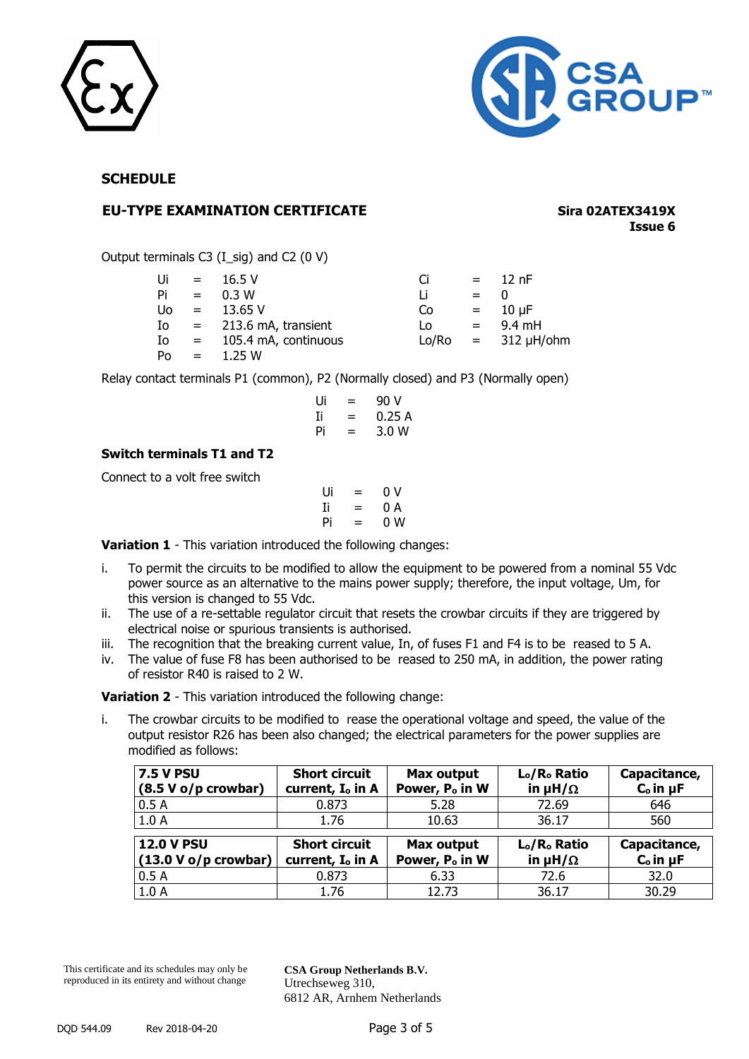



### **EU-TYPE EXAMINATION CERTIFICATE Sira 02ATEX3419X**

**Issue 6**

Output terminals C3 (I\_sig) and C2 (0 V)

| Ui        | $\mathbf{r} = \mathbf{r}$ | 16.5V                | Ci    |                           | $=$ 12 nF         |
|-----------|---------------------------|----------------------|-------|---------------------------|-------------------|
| Pi        | $=$                       | 0.3 W                | Li    | $=$                       | O                 |
| <b>Uo</b> | $=$                       | 13.65 V              | Co    |                           | $= 10 \mu F$      |
| Ιo        | $\mathbf{r} = \mathbf{r}$ | 213.6 mA, transient  | Lo    | $\mathbf{r} = \mathbf{r}$ | 9.4 mH            |
| Ιo        | $\mathbf{r} = \mathbf{r}$ | 105.4 mA, continuous | Lo/Ro |                           | $= 312 \mu H/bhm$ |
| Po        | $=$                       | 1.25 W               |       |                           |                   |

Relay contact terminals P1 (common), P2 (Normally closed) and P3 (Normally open)

Ui = 90 V Ii = 0.25 A Pi = 3.0 W

### **Switch terminals T1 and T2**

Connect to a volt free switch

$$
\begin{array}{ccc}\nUi & = & 0 \ V \\
Ii & = & 0 \ A \\
Pi & = & 0 \ W\n\end{array}
$$

**Variation 1** - This variation introduced the following changes:

- i. To permit the circuits to be modified to allow the equipment to be powered from a nominal 55 Vdc power source as an alternative to the mains power supply; therefore, the input voltage, Um, for this version is changed to 55 Vdc.
- ii. The use of a re-settable regulator circuit that resets the crowbar circuits if they are triggered by electrical noise or spurious transients is authorised.
- iii. The recognition that the breaking current value, In, of fuses F1 and F4 is to be reased to 5 A.
- iv. The value of fuse F8 has been authorised to be reased to 250 mA, in addition, the power rating of resistor R40 is raised to 2 W.

**Variation 2** - This variation introduced the following change:

i. The crowbar circuits to be modified to rease the operational voltage and speed, the value of the output resistor R26 has been also changed; the electrical parameters for the power supplies are modified as follows:

| $\sqrt{7.5}$ V PSU     | <b>Short circuit</b>         | Max output                 | L <sub>o</sub> /R <sub>o</sub> Ratio | Capacitance,    |
|------------------------|------------------------------|----------------------------|--------------------------------------|-----------------|
| $(8.5 V o/p$ crowbar)  | current, I <sub>o</sub> in A | Power, P <sub>o</sub> in W | in $\mu H/\Omega$                    | $Co$ in $\mu$ F |
| 0.5A                   | 0.873                        | 5.28                       | 72.69                                | 646             |
| 1.0A                   | 1.76                         | 10.63                      | 36.17                                | 560             |
| <b>12.0 V PSU</b>      | <b>Short circuit</b>         | <b>Max output</b>          | L <sub>o</sub> /R <sub>o</sub> Ratio | Capacitance,    |
| $(13.0 V o/p$ crowbar) | current, I <sub>o</sub> in A | Power, P <sub>o</sub> in W | in $\mu H/\Omega$                    | $Co$ in $\mu$ F |
| 0.5A                   | 0.873                        | 6.33                       | 72.6                                 | 32.0            |
| 1.0A                   | 1.76                         | 12.73                      | 36.17                                | 30.29           |

This certificate and its schedules may only be reproduced in its entirety and without change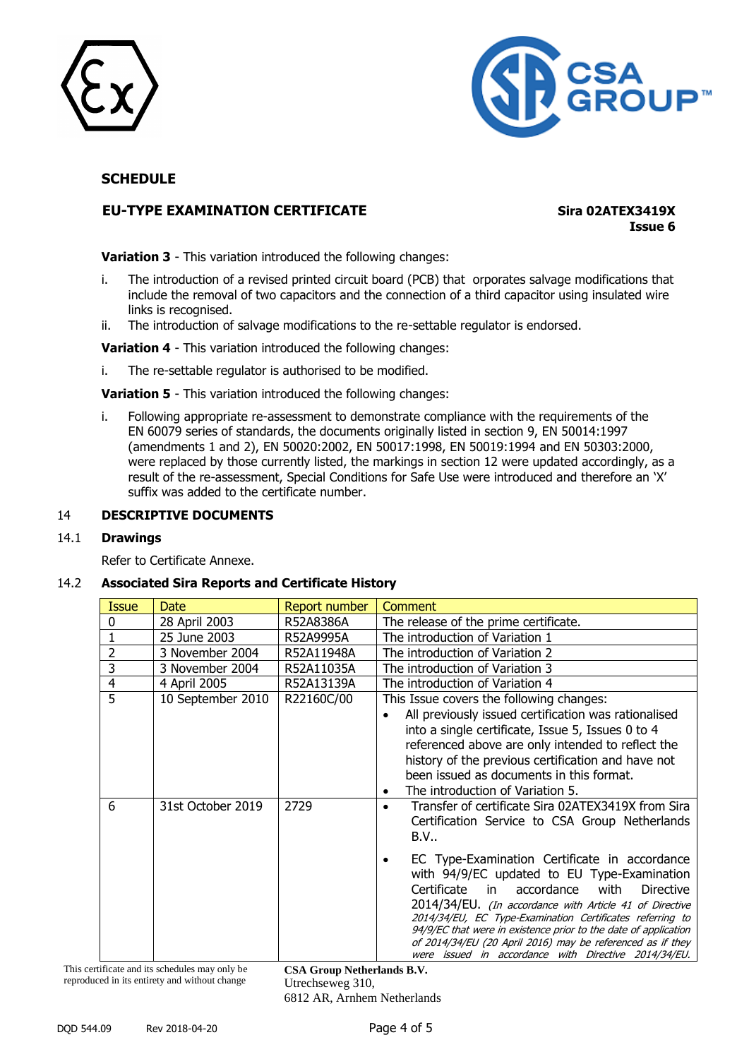



### **EU-TYPE EXAMINATION CERTIFICATE Sira 02ATEX3419X**

**Issue 6**

**Variation 3** - This variation introduced the following changes:

- i. The introduction of a revised printed circuit board (PCB) that orporates salvage modifications that include the removal of two capacitors and the connection of a third capacitor using insulated wire links is recognised.
- ii. The introduction of salvage modifications to the re-settable regulator is endorsed.

**Variation 4** - This variation introduced the following changes:

i. The re-settable regulator is authorised to be modified.

**Variation 5** - This variation introduced the following changes:

i. Following appropriate re-assessment to demonstrate compliance with the requirements of the EN 60079 series of standards, the documents originally listed in section 9, EN 50014:1997 (amendments 1 and 2), EN 50020:2002, EN 50017:1998, EN 50019:1994 and EN 50303:2000, were replaced by those currently listed, the markings in section 12 were updated accordingly, as a result of the re-assessment, Special Conditions for Safe Use were introduced and therefore an 'X' suffix was added to the certificate number.

### 14 **DESCRIPTIVE DOCUMENTS**

### 14.1 **Drawings**

Refer to Certificate Annexe.

### 14.2 **Associated Sira Reports and Certificate History**

| Issue          | <b>Date</b>       | <b>Report number</b> | <b>Comment</b>                                                                                                                                                                                                                                                                                                                                                                                                                                                                                                                                                                                |
|----------------|-------------------|----------------------|-----------------------------------------------------------------------------------------------------------------------------------------------------------------------------------------------------------------------------------------------------------------------------------------------------------------------------------------------------------------------------------------------------------------------------------------------------------------------------------------------------------------------------------------------------------------------------------------------|
| 0              | 28 April 2003     | R52A8386A            | The release of the prime certificate.                                                                                                                                                                                                                                                                                                                                                                                                                                                                                                                                                         |
| 1              | 25 June 2003      | R52A9995A            | The introduction of Variation 1                                                                                                                                                                                                                                                                                                                                                                                                                                                                                                                                                               |
| $\overline{2}$ | 3 November 2004   | R52A11948A           | The introduction of Variation 2                                                                                                                                                                                                                                                                                                                                                                                                                                                                                                                                                               |
| 3              | 3 November 2004   | R52A11035A           | The introduction of Variation 3                                                                                                                                                                                                                                                                                                                                                                                                                                                                                                                                                               |
| $\overline{4}$ | 4 April 2005      | R52A13139A           | The introduction of Variation 4                                                                                                                                                                                                                                                                                                                                                                                                                                                                                                                                                               |
| 5              | 10 September 2010 | R22160C/00           | This Issue covers the following changes:<br>All previously issued certification was rationalised<br>into a single certificate, Issue 5, Issues 0 to 4<br>referenced above are only intended to reflect the<br>history of the previous certification and have not<br>been issued as documents in this format.<br>The introduction of Variation 5.<br>٠                                                                                                                                                                                                                                         |
| 6              | 31st October 2019 | 2729                 | Transfer of certificate Sira 02ATEX3419X from Sira<br>Certification Service to CSA Group Netherlands<br>B.V.,<br>EC Type-Examination Certificate in accordance<br>with 94/9/EC updated to EU Type-Examination<br>Certificate<br>accordance<br>with<br><b>Directive</b><br>in<br>2014/34/EU. (In accordance with Article 41 of Directive<br>2014/34/EU, EC Type-Examination Certificates referring to<br>94/9/EC that were in existence prior to the date of application<br>of 2014/34/EU (20 April 2016) may be referenced as if they<br>were issued in accordance with Directive 2014/34/EU. |

This certificate and its schedules may only be reproduced in its entirety and without change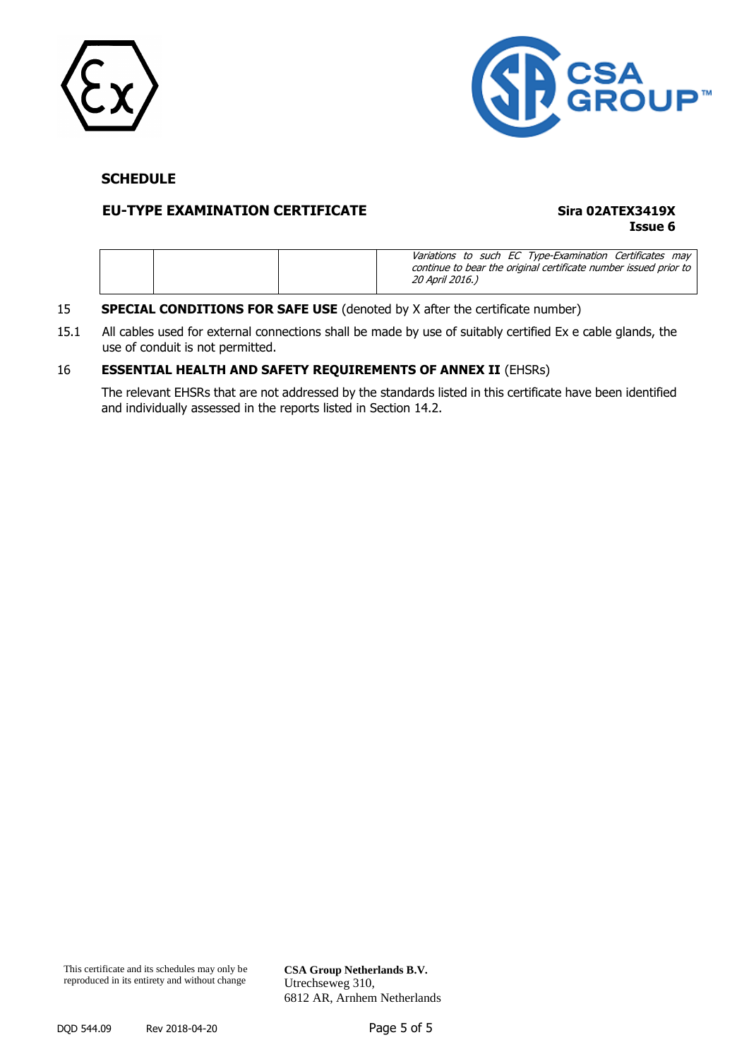



### **EU-TYPE EXAMINATION CERTIFICATE Sira 02ATEX3419X**

# **Issue 6**

|  | 20 April 2016.) | Variations to such EC Type-Examination Certificates may<br>continue to bear the original certificate number issued prior to |  |
|--|-----------------|-----------------------------------------------------------------------------------------------------------------------------|--|

### 15 **SPECIAL CONDITIONS FOR SAFE USE** (denoted by X after the certificate number)

15.1 All cables used for external connections shall be made by use of suitably certified Ex e cable glands, the use of conduit is not permitted.

### 16 **ESSENTIAL HEALTH AND SAFETY REQUIREMENTS OF ANNEX II** (EHSRs)

The relevant EHSRs that are not addressed by the standards listed in this certificate have been identified and individually assessed in the reports listed in Section 14.2.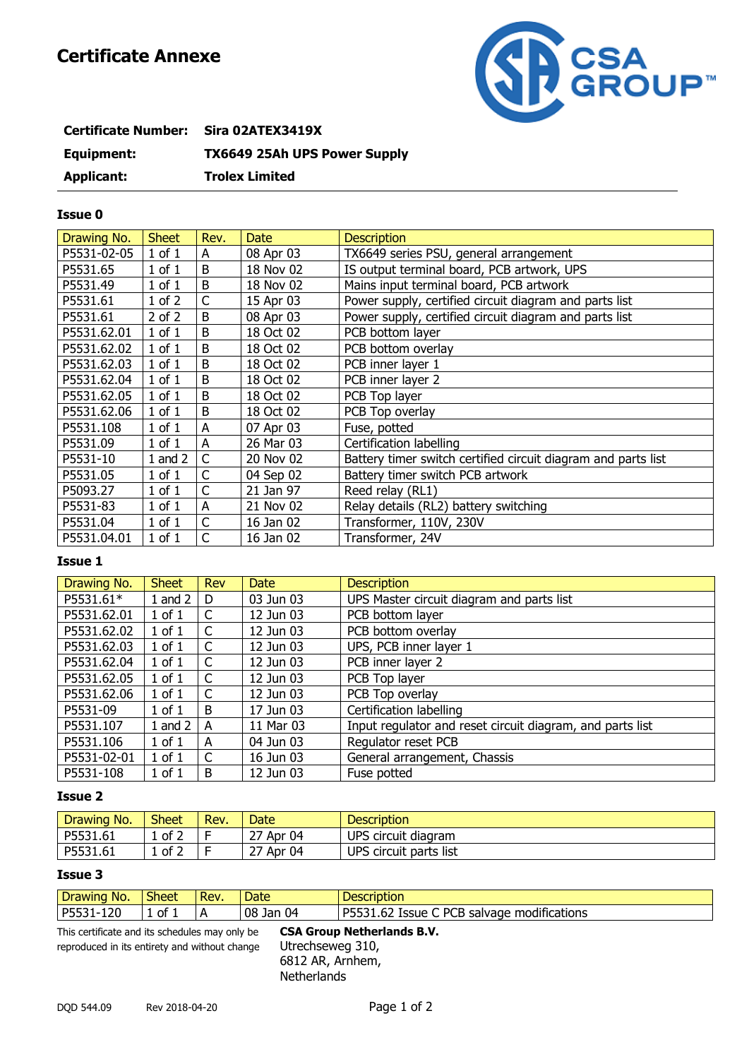# **Certificate Annexe**



| Certificate Number: Sira 02ATEX3419X |                                     |
|--------------------------------------|-------------------------------------|
| Equipment:                           | <b>TX6649 25Ah UPS Power Supply</b> |
| <b>Applicant:</b>                    | <b>Trolex Limited</b>               |

### **Issue 0**

| Drawing No. | <b>Sheet</b> | Rev. | <b>Date</b> | <b>Description</b>                                            |
|-------------|--------------|------|-------------|---------------------------------------------------------------|
| P5531-02-05 | $1$ of $1$   | A    | 08 Apr 03   | TX6649 series PSU, general arrangement                        |
| P5531.65    | $1$ of $1$   | B    | 18 Nov 02   | IS output terminal board, PCB artwork, UPS                    |
| P5531.49    | $1$ of $1$   | B    | 18 Nov 02   | Mains input terminal board, PCB artwork                       |
| P5531.61    | $1$ of $2$   | С    | 15 Apr 03   | Power supply, certified circuit diagram and parts list        |
| P5531.61    | $2$ of $2$   | B    | 08 Apr 03   | Power supply, certified circuit diagram and parts list        |
| P5531.62.01 | $1$ of $1$   | B    | 18 Oct 02   | PCB bottom layer                                              |
| P5531.62.02 | $1$ of $1$   | В    | 18 Oct 02   | PCB bottom overlay                                            |
| P5531.62.03 | $1$ of $1$   | B    | 18 Oct 02   | PCB inner layer 1                                             |
| P5531.62.04 | $1$ of $1$   | B    | 18 Oct 02   | PCB inner layer 2                                             |
| P5531.62.05 | $1$ of $1$   | В    | 18 Oct 02   | PCB Top layer                                                 |
| P5531.62.06 | $1$ of $1$   | B    | 18 Oct 02   | PCB Top overlay                                               |
| P5531.108   | $1$ of $1$   | А    | 07 Apr 03   | Fuse, potted                                                  |
| P5531.09    | $1$ of $1$   | A    | 26 Mar 03   | Certification labelling                                       |
| P5531-10    | 1 and $2$    | C    | 20 Nov 02   | Battery timer switch certified circuit diagram and parts list |
| P5531.05    | $1$ of $1$   | С    | 04 Sep 02   | Battery timer switch PCB artwork                              |
| P5093.27    | $1$ of $1$   | C    | 21 Jan 97   | Reed relay (RL1)                                              |
| P5531-83    | $1$ of $1$   | A    | 21 Nov 02   | Relay details (RL2) battery switching                         |
| P5531.04    | $1$ of $1$   | C    | 16 Jan 02   | Transformer, 110V, 230V                                       |
| P5531.04.01 | $1$ of $1$   | C    | 16 Jan 02   | Transformer, 24V                                              |

### **Issue 1**

| Drawing No. | <b>Sheet</b> | <b>Rev</b> | <b>Date</b> | <b>Description</b>                                        |
|-------------|--------------|------------|-------------|-----------------------------------------------------------|
| P5531.61*   | $1$ and $2$  | D          | 03 Jun 03   | UPS Master circuit diagram and parts list                 |
| P5531.62.01 | $1$ of $1$   | C          | 12 Jun 03   | PCB bottom layer                                          |
| P5531.62.02 | $1$ of $1$   | C          | 12 Jun 03   | PCB bottom overlay                                        |
| P5531.62.03 | $1$ of $1$   | C          | 12 Jun 03   | UPS, PCB inner layer 1                                    |
| P5531.62.04 | $1$ of $1$   | C          | 12 Jun 03   | PCB inner layer 2                                         |
| P5531.62.05 | $1$ of $1$   | C          | 12 Jun 03   | PCB Top layer                                             |
| P5531.62.06 | $1$ of $1$   | C          | 12 Jun 03   | PCB Top overlay                                           |
| P5531-09    | $1$ of $1$   | B          | 17 Jun 03   | Certification labelling                                   |
| P5531.107   | $1$ and $2$  | A          | 11 Mar 03   | Input regulator and reset circuit diagram, and parts list |
| P5531.106   | $1$ of $1$   | A          | 04 Jun 03   | Regulator reset PCB                                       |
| P5531-02-01 | $1$ of $1$   | C          | 16 Jun 03   | General arrangement, Chassis                              |
| P5531-108   | $1$ of $1$   | B          | 12 Jun 03   | Fuse potted                                               |

### **Issue 2**

| Drawing No. | <b>Sheet</b>                                         | Rev. | Date         | <b>Description</b>     |
|-------------|------------------------------------------------------|------|--------------|------------------------|
| P5531.61    | $\overline{\phantom{a}}$ of $\overline{\phantom{a}}$ |      | 27 Apr<br>04 | UPS circuit diagram    |
| P5531.61    | $\circ$ of $\hat{}$                                  |      | 27 Apr<br>04 | UPS circuit parts list |

### **Issue 3**

| . .<br>-<br>N <sub>O</sub> .<br>Drawing | $\sim$<br>Sheet | Rev. | Date            | Description                                                         |
|-----------------------------------------|-----------------|------|-----------------|---------------------------------------------------------------------|
| חר ו<br><b>D55</b><br>ᆂᄼ                | .ot<br>. .      | A    | 04<br>08<br>Jan | DCF<br>DEE<br>modifications<br>salvage<br>!ssue<br>251.02<br>D<br>∼ |

reproduced in its entirety and without change Utrechseweg 310,

This certificate and its schedules may only be **CSA Group Netherlands B.V.** 6812 AR, Arnhem, **Netherlands**